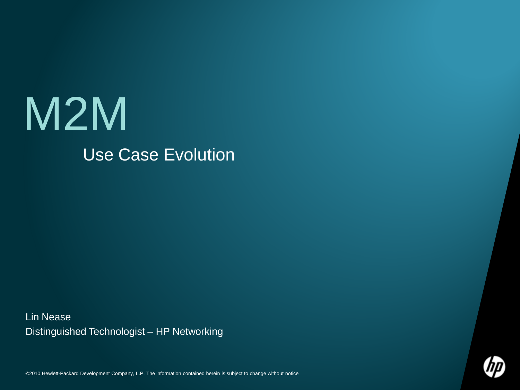# M2M Use Case Evolution

Lin Nease Distinguished Technologist – HP Networking



©2010 Hewlett-Packard Development Company, L.P. The information contained herein is subject to change without notice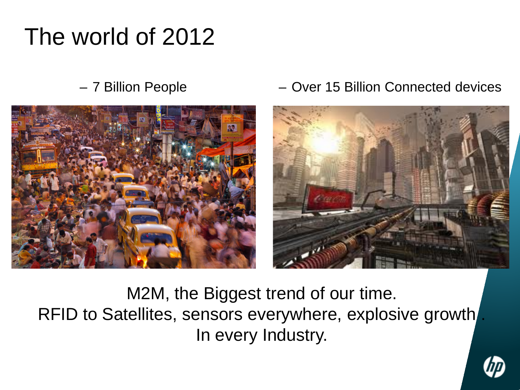### The world of 2012



#### – 7 Billion People – Over 15 Billion Connected devices



M2M, the Biggest trend of our time. RFID to Satellites, sensors everywhere, explosive growth In every Industry.

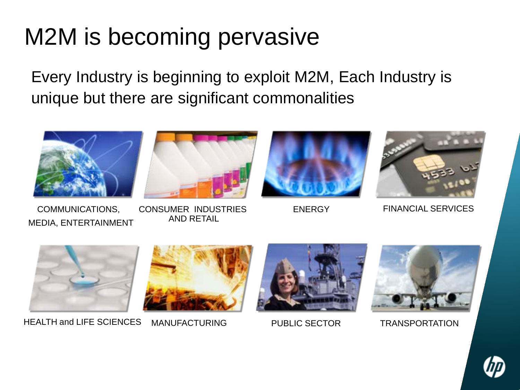## M2M is becoming pervasive

Every Industry is beginning to exploit M2M, Each Industry is unique but there are significant commonalities



AND RETAIL



CONSUMER INDUSTRIES ENERGY



FINANCIAL SERVICES

COMMUNICATIONS, MEDIA, ENTERTAINMENT



HEALTH and LIFE SCIENCES MANUFACTURING PUBLIC SECTOR TRANSPORTATION



MANUFACTURING PUBLIC SECTOR



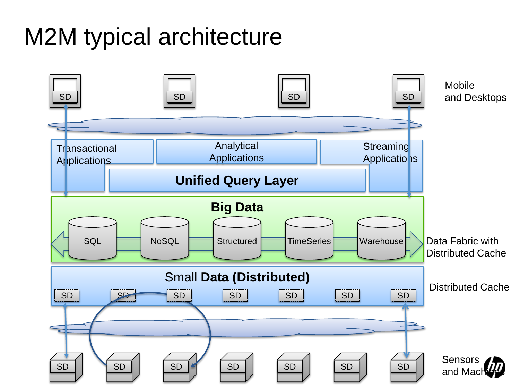## M2M typical architecture

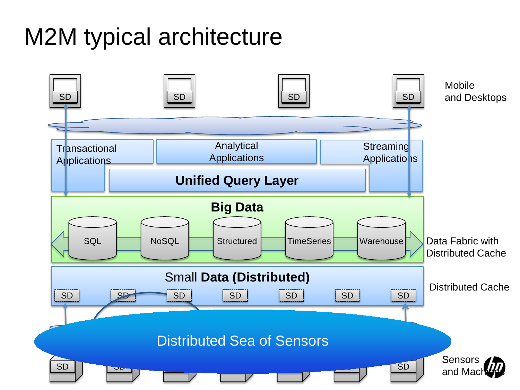## M2M typical architecture

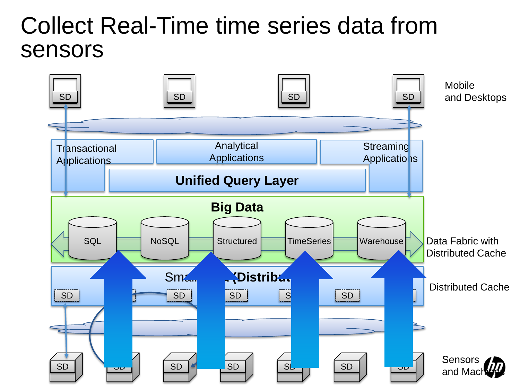### Collect Real-Time time series data from sensors

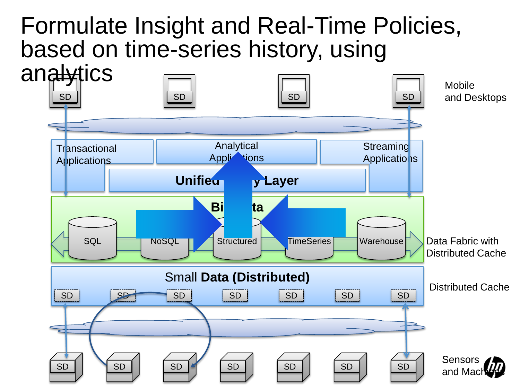### Formulate Insight and Real-Time Policies, based on time-series history, using

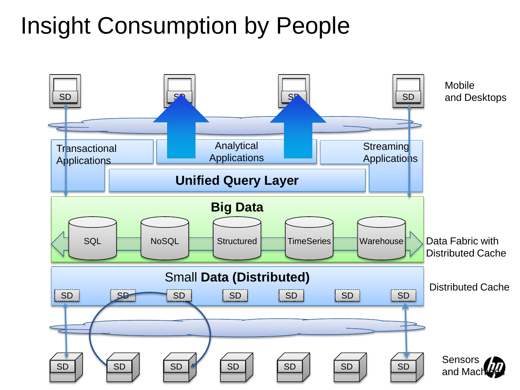### Insight Consumption by People

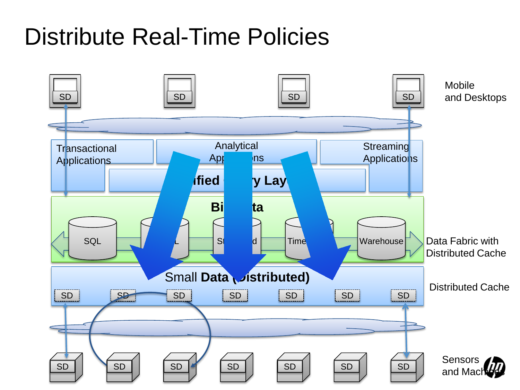### Distribute Real-Time Policies

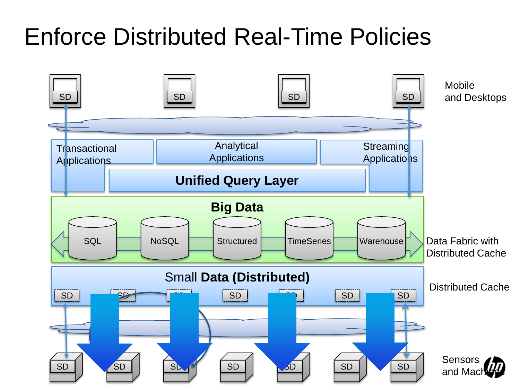### Enforce Distributed Real-Time Policies

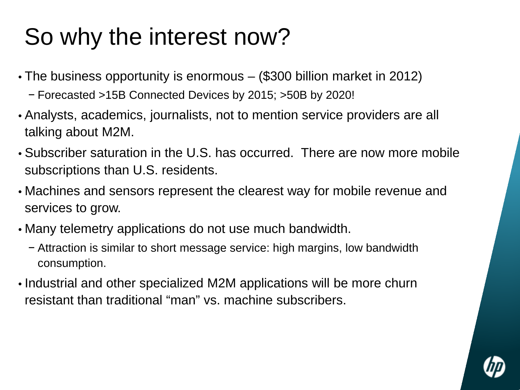## So why the interest now?

- The business opportunity is enormous (\$300 billion market in 2012) − Forecasted >15B Connected Devices by 2015; >50B by 2020!
- Analysts, academics, journalists, not to mention service providers are all talking about M2M.
- Subscriber saturation in the U.S. has occurred. There are now more mobile subscriptions than U.S. residents.
- Machines and sensors represent the clearest way for mobile revenue and services to grow.
- Many telemetry applications do not use much bandwidth.
	- − Attraction is similar to short message service: high margins, low bandwidth consumption.
- Industrial and other specialized M2M applications will be more churn resistant than traditional "man" vs. machine subscribers.

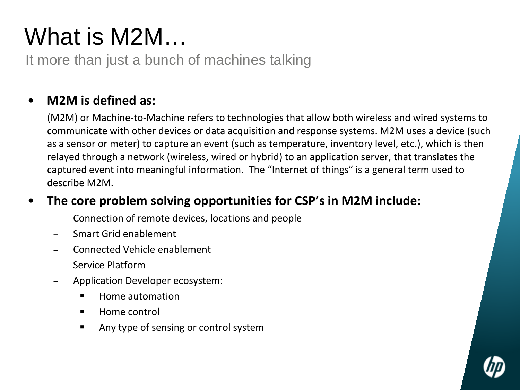# What is M2M…

It more than just a bunch of machines talking

#### • **M2M is defined as:**

(M2M) or Machine-to-Machine refers to technologies that allow both wireless and wired systems to communicate with other devices or data acquisition and response systems. M2M uses a device (such as a sensor or meter) to capture an event (such as temperature, inventory level, etc.), which is then relayed through a network (wireless, wired or hybrid) to an application server, that translates the captured event into meaningful information. The "Internet of things" is a general term used to describe M2M.

#### • **The core problem solving opportunities for CSP's in M2M include:**

- Connection of remote devices, locations and people
- Smart Grid enablement
- Connected Vehicle enablement
- Service Platform
- Application Developer ecosystem:
	- **Home automation**
	- **Home control**
	- Any type of sensing or control system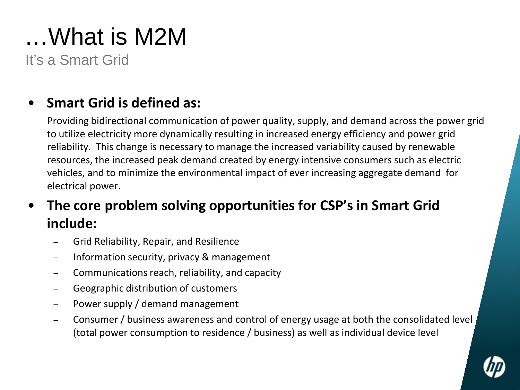# …What is M2M

It's a Smart Grid

### • **Smart Grid is defined as:**

Providing bidirectional communication of power quality, supply, and demand across the power grid to utilize electricity more dynamically resulting in increased energy efficiency and power grid reliability. This change is necessary to manage the increased variability caused by renewable resources, the increased peak demand created by energy intensive consumers such as electric vehicles, and to minimize the environmental impact of ever increasing aggregate demand for electrical power.

### • **The core problem solving opportunities for CSP's in Smart Grid include:**

- Grid Reliability, Repair, and Resilience
- Information security, privacy & management
- Communications reach, reliability, and capacity
- Geographic distribution of customers
- Power supply / demand management
- Consumer / business awareness and control of energy usage at both the consolidated level (total power consumption to residence / business) as well as individual device level

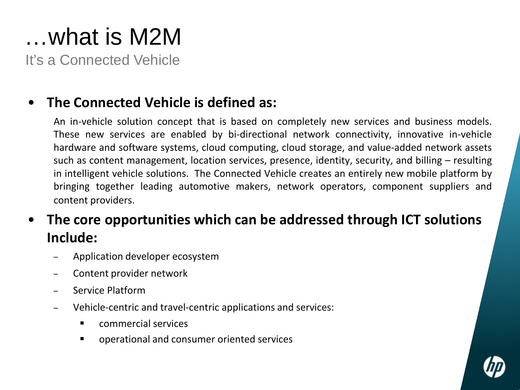## …what is M2M

It's a Connected Vehicle

### • **The Connected Vehicle is defined as:**

An in-vehicle solution concept that is based on completely new services and business models. These new services are enabled by bi-directional network connectivity, innovative in-vehicle hardware and software systems, cloud computing, cloud storage, and value-added network assets such as content management, location services, presence, identity, security, and billing – resulting in intelligent vehicle solutions. The Connected Vehicle creates an entirely new mobile platform by bringing together leading automotive makers, network operators, component suppliers and content providers.

### • **The core opportunities which can be addressed through ICT solutions Include:**

- Application developer ecosystem
- Content provider network
- Service Platform
- Vehicle-centric and travel-centric applications and services:
	- commercial services
	- **•** operational and consumer oriented services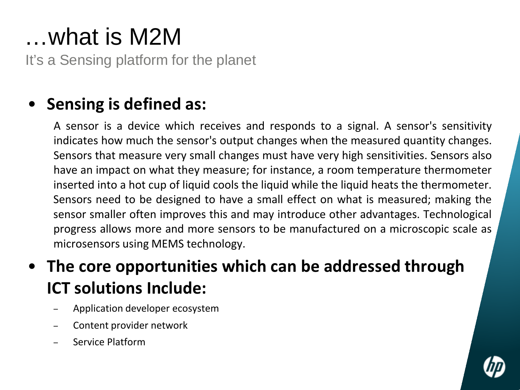## …what is M2M

It's a Sensing platform for the planet

### • **Sensing is defined as:**

A sensor is a device which receives and responds to a signal. A sensor's sensitivity indicates how much the sensor's output changes when the measured quantity changes. Sensors that measure very small changes must have very high sensitivities. Sensors also have an impact on what they measure; for instance, a room temperature thermometer inserted into a hot cup of liquid cools the liquid while the liquid heats the thermometer. Sensors need to be designed to have a small effect on what is measured; making the sensor smaller often improves this and may introduce other advantages. Technological progress allows more and more sensors to be manufactured on a microscopic scale as microsensors using MEMS technology.

### • **The core opportunities which can be addressed through ICT solutions Include:**

- Application developer ecosystem
- Content provider network
- Service Platform

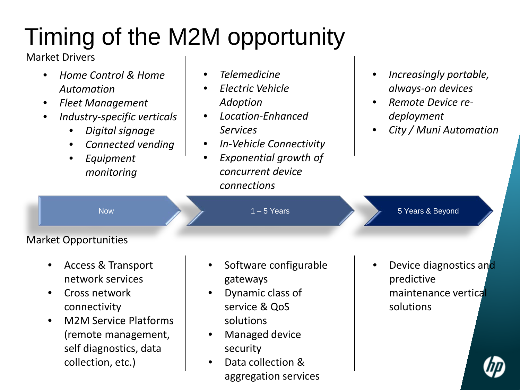# Timing of the M2M opportunity

Market Drivers

- *Home Control & Home Automation*
- *Fleet Management*
- *Industry-specific verticals*
	- *Digital signage*
	- *Connected vending*
	- *Equipment monitoring*
- *Telemedicine*
- *Electric Vehicle Adoption*
- *Location-Enhanced Services*
- *In-Vehicle Connectivity*
- *Exponential growth of concurrent device connections*
- *Increasingly portable, always-on devices*
- *Remote Device redeployment*
- *City / Muni Automation*

Now  $\sqrt{1-5 \text{ Years}}$  1 – 5 Years  $\sqrt{1-5 \text{ Years}}$  5 Years & Beyond

Market Opportunities

- Access & Transport network services
- Cross network connectivity
- M2M Service Platforms (remote management, self diagnostics, data collection, etc.)
- Software configurable gateways
- Dynamic class of service & QoS solutions
- Managed device security
- Data collection & aggregation services

• Device diagnostics and predictive maintenance vertical solutions

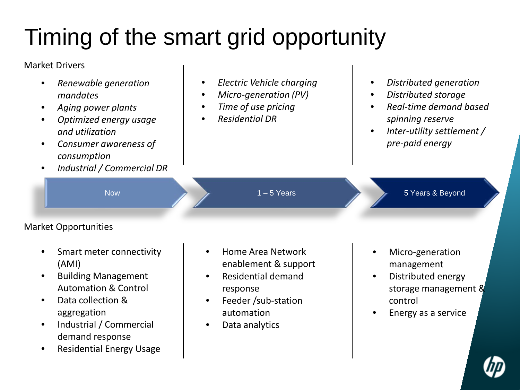# Timing of the smart grid opportunity

#### Market Drivers

- *Renewable generation mandates*
- *Aging power plants*
- *Optimized energy usage and utilization*
- *Consumer awareness of consumption*
- *Industrial / Commercial DR*
- *Electric Vehicle charging*
- *Micro-generation (PV)*
- *Time of use pricing*
- *Residential DR*
- *Distributed generation*
- *Distributed storage*
- *Real-time demand based spinning reserve*
- *Inter-utility settlement / pre-paid energy*

Now  $1-5$  Years  $3-5$  Years  $4-5$  Years  $5$  Years & Beyond

Market Opportunities

- Smart meter connectivity (AMI)
- Building Management Automation & Control
- Data collection & aggregation
- Industrial / Commercial demand response
- Residential Energy Usage
- Home Area Network enablement & support
- Residential demand response
- Feeder /sub-station automation
- Data analytics
- Micro-generation management
- Distributed energy storage management & control
- Energy as a service

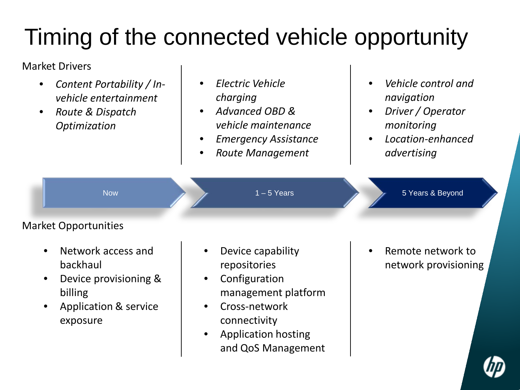# Timing of the connected vehicle opportunity

#### Market Drivers

- *Content Portability / Invehicle entertainment*
- *Route & Dispatch Optimization*
- *Electric Vehicle charging*
- *Advanced OBD & vehicle maintenance*
- *Emergency Assistance*

Now  $1-5$  Years  $3-5$  Years  $4-5$  Years  $5$  Years & Beyond

• *Route Management* 

- *Vehicle control and navigation*
- *Driver / Operator monitoring*
- *Location-enhanced advertising*

Market Opportunities

- Network access and backhaul
- Device provisioning & billing
- Application & service exposure
- Device capability repositories
- **Configuration** management platform
- Cross-network connectivity
- Application hosting and QoS Management

• Remote network to network provisioning

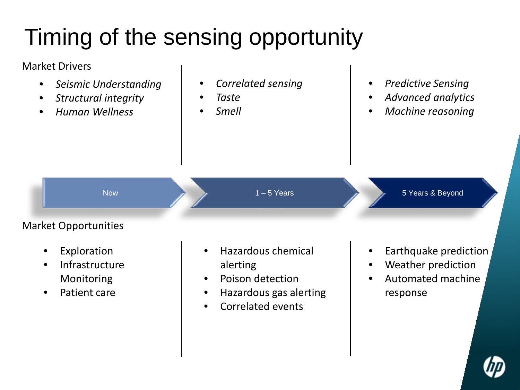# Timing of the sensing opportunity

#### Market Drivers

- *Seismic Understanding*
- *Structural integrity*
- *Human Wellness*
- *Correlated sensing*
- *Taste*
- *Smell*
- *Predictive Sensing*
- *Advanced analytics*
- *Machine reasoning*

Now  $1-5$  Years  $3-5$  Years  $4-5$  Years  $5$  Years & Beyond

#### Market Opportunities

- Exploration
- Infrastructure Monitoring
- Patient care
- Hazardous chemical alerting
- Poison detection
- Hazardous gas alerting
- Correlated events
- Earthquake prediction
- Weather prediction
- Automated machine response

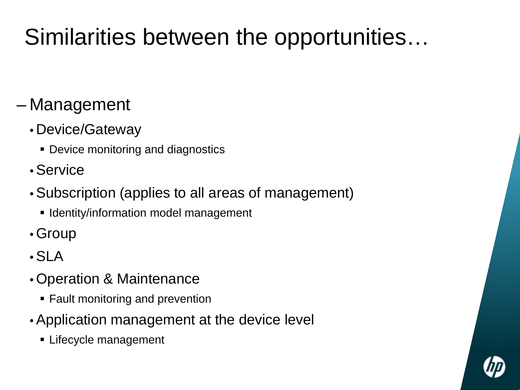### Similarities between the opportunities…

### – Management

- Device/Gateway
	- **Device monitoring and diagnostics**
- Service
- Subscription (applies to all areas of management)
	- **I** Identity/information model management
- Group
- SLA
- Operation & Maintenance
	- **Fault monitoring and prevention**
- Application management at the device level
	- **Example management**

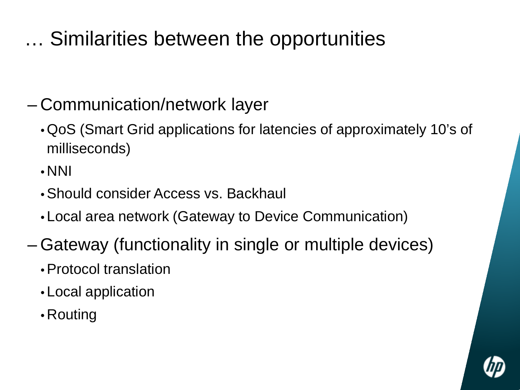### … Similarities between the opportunities

### – Communication/network layer

- QoS (Smart Grid applications for latencies of approximately 10's of milliseconds)
- NNI
- Should consider Access vs. Backhaul
- Local area network (Gateway to Device Communication)
- Gateway (functionality in single or multiple devices)
	- Protocol translation
	- Local application
	- Routing